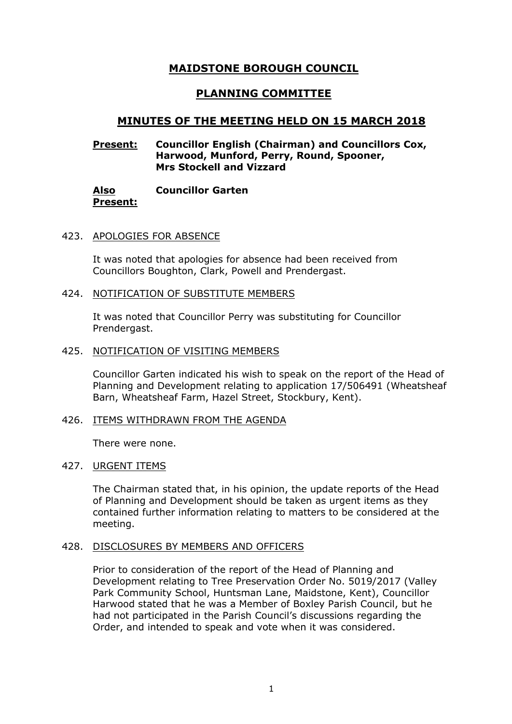# **MAIDSTONE BOROUGH COUNCIL**

# **PLANNING COMMITTEE**

## **MINUTES OF THE MEETING HELD ON 15 MARCH 2018**

## **Present: Councillor English (Chairman) and Councillors Cox, Harwood, Munford, Perry, Round, Spooner, Mrs Stockell and Vizzard**

**Also Present: Councillor Garten**

#### 423. APOLOGIES FOR ABSENCE

It was noted that apologies for absence had been received from Councillors Boughton, Clark, Powell and Prendergast.

#### 424. NOTIFICATION OF SUBSTITUTE MEMBERS

It was noted that Councillor Perry was substituting for Councillor Prendergast.

#### 425. NOTIFICATION OF VISITING MEMBERS

Councillor Garten indicated his wish to speak on the report of the Head of Planning and Development relating to application 17/506491 (Wheatsheaf Barn, Wheatsheaf Farm, Hazel Street, Stockbury, Kent).

#### 426. ITEMS WITHDRAWN FROM THE AGENDA

There were none.

#### 427. URGENT ITEMS

The Chairman stated that, in his opinion, the update reports of the Head of Planning and Development should be taken as urgent items as they contained further information relating to matters to be considered at the meeting.

#### 428. DISCLOSURES BY MEMBERS AND OFFICERS

Prior to consideration of the report of the Head of Planning and Development relating to Tree Preservation Order No. 5019/2017 (Valley Park Community School, Huntsman Lane, Maidstone, Kent), Councillor Harwood stated that he was a Member of Boxley Parish Council, but he had not participated in the Parish Council's discussions regarding the Order, and intended to speak and vote when it was considered.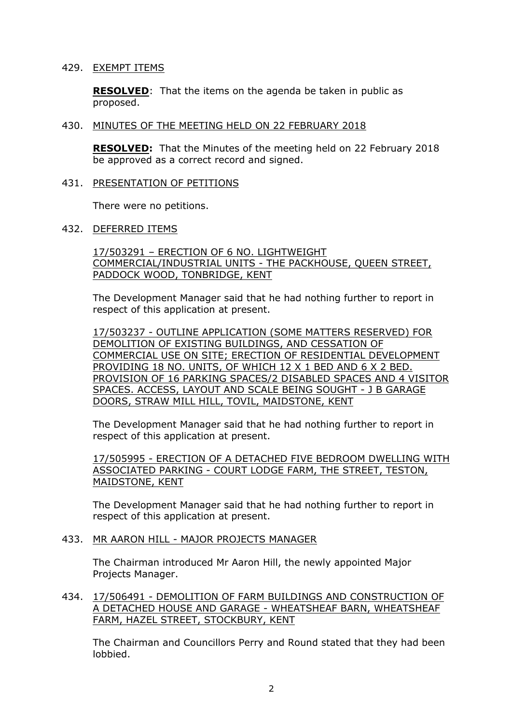### 429. EXEMPT ITEMS

**RESOLVED**: That the items on the agenda be taken in public as proposed.

## 430. MINUTES OF THE MEETING HELD ON 22 FEBRUARY 2018

**RESOLVED:** That the Minutes of the meeting held on 22 February 2018 be approved as a correct record and signed.

431. PRESENTATION OF PETITIONS

There were no petitions.

432. DEFERRED ITEMS

17/503291 – ERECTION OF 6 NO. LIGHTWEIGHT COMMERCIAL/INDUSTRIAL UNITS - THE PACKHOUSE, QUEEN STREET, PADDOCK WOOD, TONBRIDGE, KENT

The Development Manager said that he had nothing further to report in respect of this application at present.

17/503237 - OUTLINE APPLICATION (SOME MATTERS RESERVED) FOR DEMOLITION OF EXISTING BUILDINGS, AND CESSATION OF COMMERCIAL USE ON SITE; ERECTION OF RESIDENTIAL DEVELOPMENT PROVIDING 18 NO. UNITS, OF WHICH 12 X 1 BED AND 6 X 2 BED. PROVISION OF 16 PARKING SPACES/2 DISABLED SPACES AND 4 VISITOR SPACES. ACCESS, LAYOUT AND SCALE BEING SOUGHT - J B GARAGE DOORS, STRAW MILL HILL, TOVIL, MAIDSTONE, KENT

The Development Manager said that he had nothing further to report in respect of this application at present.

17/505995 - ERECTION OF A DETACHED FIVE BEDROOM DWELLING WITH ASSOCIATED PARKING - COURT LODGE FARM, THE STREET, TESTON, MAIDSTONE, KENT

The Development Manager said that he had nothing further to report in respect of this application at present.

## 433. MR AARON HILL - MAJOR PROJECTS MANAGER

The Chairman introduced Mr Aaron Hill, the newly appointed Major Projects Manager.

434. 17/506491 - DEMOLITION OF FARM BUILDINGS AND CONSTRUCTION OF A DETACHED HOUSE AND GARAGE - WHEATSHEAF BARN, WHEATSHEAF FARM, HAZEL STREET, STOCKBURY, KENT

The Chairman and Councillors Perry and Round stated that they had been lobbied.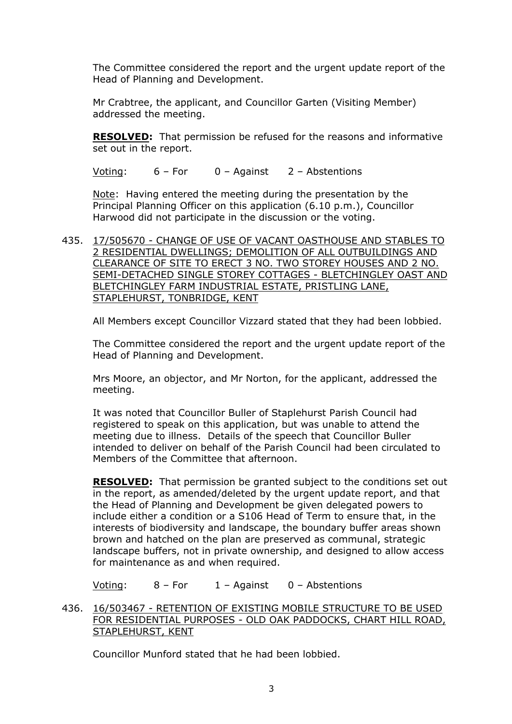The Committee considered the report and the urgent update report of the Head of Planning and Development.

Mr Crabtree, the applicant, and Councillor Garten (Visiting Member) addressed the meeting.

**RESOLVED:** That permission be refused for the reasons and informative set out in the report.

Voting: 6 – For 0 – Against 2 – Abstentions

Note: Having entered the meeting during the presentation by the Principal Planning Officer on this application (6.10 p.m.), Councillor Harwood did not participate in the discussion or the voting.

435. 17/505670 - CHANGE OF USE OF VACANT OASTHOUSE AND STABLES TO 2 RESIDENTIAL DWELLINGS; DEMOLITION OF ALL OUTBUILDINGS AND CLEARANCE OF SITE TO ERECT 3 NO. TWO STOREY HOUSES AND 2 NO. SEMI-DETACHED SINGLE STOREY COTTAGES - BLETCHINGLEY OAST AND BLETCHINGLEY FARM INDUSTRIAL ESTATE, PRISTLING LANE, STAPLEHURST, TONBRIDGE, KENT

All Members except Councillor Vizzard stated that they had been lobbied.

The Committee considered the report and the urgent update report of the Head of Planning and Development.

Mrs Moore, an objector, and Mr Norton, for the applicant, addressed the meeting.

It was noted that Councillor Buller of Staplehurst Parish Council had registered to speak on this application, but was unable to attend the meeting due to illness. Details of the speech that Councillor Buller intended to deliver on behalf of the Parish Council had been circulated to Members of the Committee that afternoon.

**RESOLVED:** That permission be granted subject to the conditions set out in the report, as amended/deleted by the urgent update report, and that the Head of Planning and Development be given delegated powers to include either a condition or a S106 Head of Term to ensure that, in the interests of biodiversity and landscape, the boundary buffer areas shown brown and hatched on the plan are preserved as communal, strategic landscape buffers, not in private ownership, and designed to allow access for maintenance as and when required.

Voting: 8 – For 1 – Against 0 – Abstentions

436. 16/503467 - RETENTION OF EXISTING MOBILE STRUCTURE TO BE USED FOR RESIDENTIAL PURPOSES - OLD OAK PADDOCKS, CHART HILL ROAD, STAPLEHURST, KENT

Councillor Munford stated that he had been lobbied.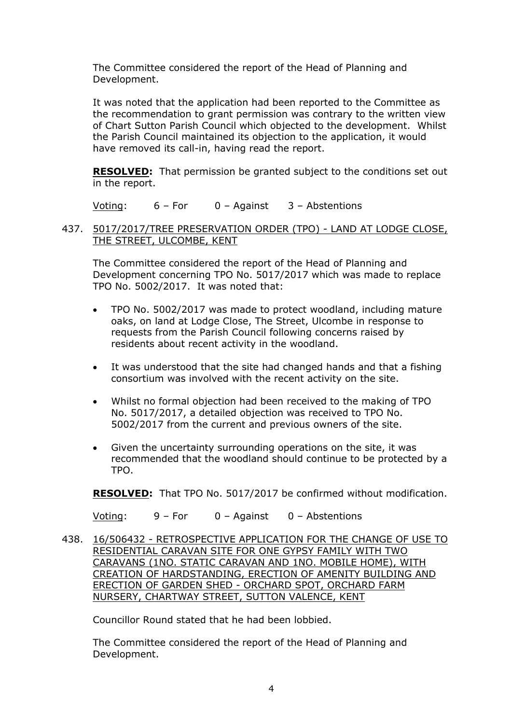The Committee considered the report of the Head of Planning and Development.

It was noted that the application had been reported to the Committee as the recommendation to grant permission was contrary to the written view of Chart Sutton Parish Council which objected to the development. Whilst the Parish Council maintained its objection to the application, it would have removed its call-in, having read the report.

**RESOLVED:** That permission be granted subject to the conditions set out in the report.

Voting: 6 – For 0 – Against 3 – Abstentions

## 437. 5017/2017/TREE PRESERVATION ORDER (TPO) - LAND AT LODGE CLOSE, THE STREET, ULCOMBE, KENT

The Committee considered the report of the Head of Planning and Development concerning TPO No. 5017/2017 which was made to replace TPO No. 5002/2017. It was noted that:

- TPO No. 5002/2017 was made to protect woodland, including mature oaks, on land at Lodge Close, The Street, Ulcombe in response to requests from the Parish Council following concerns raised by residents about recent activity in the woodland.
- It was understood that the site had changed hands and that a fishing consortium was involved with the recent activity on the site.
- Whilst no formal objection had been received to the making of TPO No. 5017/2017, a detailed objection was received to TPO No. 5002/2017 from the current and previous owners of the site.
- Given the uncertainty surrounding operations on the site, it was recommended that the woodland should continue to be protected by a TPO.

**RESOLVED:** That TPO No. 5017/2017 be confirmed without modification.

Voting: 9 – For 0 – Against 0 – Abstentions

438. 16/506432 - RETROSPECTIVE APPLICATION FOR THE CHANGE OF USE TO RESIDENTIAL CARAVAN SITE FOR ONE GYPSY FAMILY WITH TWO CARAVANS (1NO. STATIC CARAVAN AND 1NO. MOBILE HOME), WITH CREATION OF HARDSTANDING, ERECTION OF AMENITY BUILDING AND ERECTION OF GARDEN SHED - ORCHARD SPOT, ORCHARD FARM NURSERY, CHARTWAY STREET, SUTTON VALENCE, KENT

Councillor Round stated that he had been lobbied.

The Committee considered the report of the Head of Planning and Development.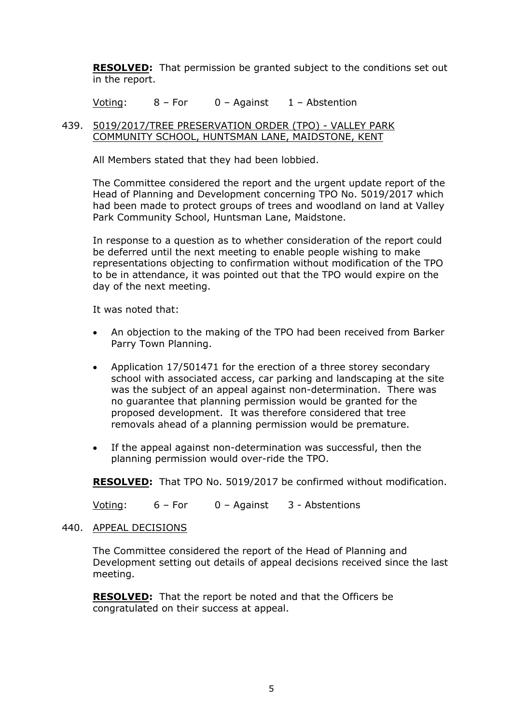**RESOLVED:** That permission be granted subject to the conditions set out in the report.

Voting: 8 – For 0 – Against 1 – Abstention

## 439. 5019/2017/TREE PRESERVATION ORDER (TPO) - VALLEY PARK COMMUNITY SCHOOL, HUNTSMAN LANE, MAIDSTONE, KENT

All Members stated that they had been lobbied.

The Committee considered the report and the urgent update report of the Head of Planning and Development concerning TPO No. 5019/2017 which had been made to protect groups of trees and woodland on land at Valley Park Community School, Huntsman Lane, Maidstone.

In response to a question as to whether consideration of the report could be deferred until the next meeting to enable people wishing to make representations objecting to confirmation without modification of the TPO to be in attendance, it was pointed out that the TPO would expire on the day of the next meeting.

It was noted that:

- An objection to the making of the TPO had been received from Barker Parry Town Planning.
- Application 17/501471 for the erection of a three storey secondary school with associated access, car parking and landscaping at the site was the subject of an appeal against non-determination. There was no guarantee that planning permission would be granted for the proposed development. It was therefore considered that tree removals ahead of a planning permission would be premature.
- If the appeal against non-determination was successful, then the planning permission would over-ride the TPO.

**RESOLVED:** That TPO No. 5019/2017 be confirmed without modification.

Voting: 6 – For 0 – Against 3 - Abstentions

#### 440. APPEAL DECISIONS

The Committee considered the report of the Head of Planning and Development setting out details of appeal decisions received since the last meeting.

**RESOLVED:** That the report be noted and that the Officers be congratulated on their success at appeal.